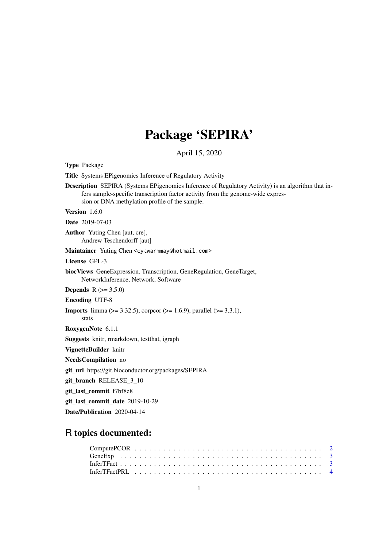## Package 'SEPIRA'

April 15, 2020

<span id="page-0-0"></span>Type Package

Title Systems EPigenomics Inference of Regulatory Activity

Description SEPIRA (Systems EPigenomics Inference of Regulatory Activity) is an algorithm that infers sample-specific transcription factor activity from the genome-wide expression or DNA methylation profile of the sample.

Version 1.6.0

Date 2019-07-03

Author Yuting Chen [aut, cre], Andrew Teschendorff [aut]

Maintainer Yuting Chen <cytwarmmay@hotmail.com>

License GPL-3

biocViews GeneExpression, Transcription, GeneRegulation, GeneTarget, NetworkInference, Network, Software

**Depends**  $R$  ( $>= 3.5.0$ )

Encoding UTF-8

stats

**Imports** limma ( $> = 3.32.5$ ), corpcor ( $> = 1.6.9$ ), parallel ( $> = 3.3.1$ ),

RoxygenNote 6.1.1

Suggests knitr, rmarkdown, testthat, igraph

VignetteBuilder knitr

NeedsCompilation no

git\_url https://git.bioconductor.org/packages/SEPIRA

git\_branch RELEASE\_3\_10

git\_last\_commit f7bf8e8

git\_last\_commit\_date 2019-10-29

Date/Publication 2020-04-14

### R topics documented: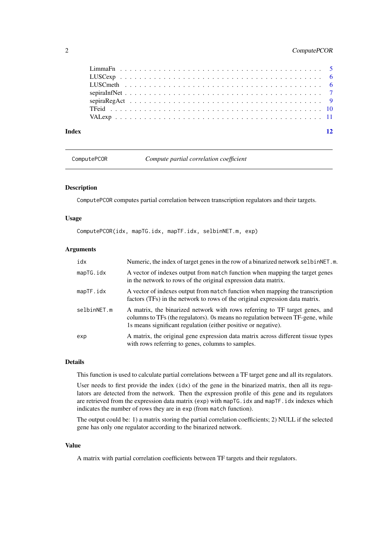#### <span id="page-1-0"></span>2 ComputePCOR

| <b>Index</b> |  |
|--------------|--|
|              |  |
|              |  |
|              |  |
|              |  |
|              |  |
|              |  |
|              |  |

ComputePCOR *Compute partial correlation coefficient*

#### Description

ComputePCOR computes partial correlation between transcription regulators and their targets.

#### Usage

ComputePCOR(idx, mapTG.idx, mapTF.idx, selbinNET.m, exp)

#### Arguments

| idx         | Numeric, the index of target genes in the row of a binarized network selbinNET.m.                                                                                                                                               |
|-------------|---------------------------------------------------------------------------------------------------------------------------------------------------------------------------------------------------------------------------------|
| mapTG.idx   | A vector of indexes output from match function when mapping the target genes<br>in the network to rows of the original expression data matrix.                                                                                  |
| mapTF.idx   | A vector of indexes output from match function when mapping the transcription<br>factors (TFs) in the network to rows of the original expression data matrix.                                                                   |
| selbinNET.m | A matrix, the binarized network with rows referring to TF target genes, and<br>columns to TFs (the regulators). Os means no regulation between TF-gene, while<br>1s means significant regulation (either positive or negative). |
| exp         | A matrix, the original gene expression data matrix across different tissue types<br>with rows referring to genes, columns to samples.                                                                                           |

#### Details

This function is used to calculate partial correlations between a TF target gene and all its regulators.

User needs to first provide the index (idx) of the gene in the binarized matrix, then all its regulators are detected from the network. Then the expression profile of this gene and its regulators are retrieved from the expression data matrix (exp) with mapTG.idx and mapTF.idx indexes which indicates the number of rows they are in exp (from match function).

The output could be: 1) a matrix storing the partial correlation coefficients; 2) NULL if the selected gene has only one regulator according to the binarized network.

#### Value

A matrix with partial correlation coefficients between TF targets and their regulators.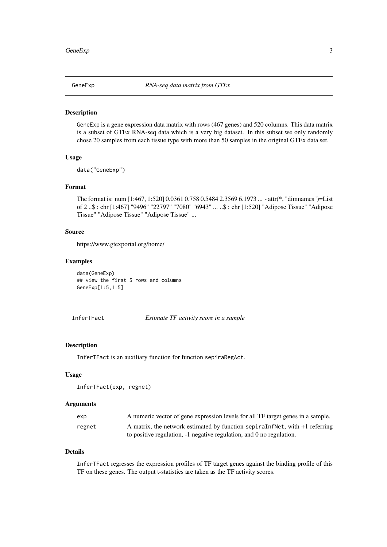<span id="page-2-0"></span>

#### Description

GeneExp is a gene expression data matrix with rows (467 genes) and 520 columns. This data matrix is a subset of GTEx RNA-seq data which is a very big dataset. In this subset we only randomly chose 20 samples from each tissue type with more than 50 samples in the original GTEx data set.

#### Usage

data("GeneExp")

#### Format

The format is: num [1:467, 1:520] 0.0361 0.758 0.5484 2.3569 6.1973 ... - attr(\*, "dimnames")=List of 2 ..\$ : chr [1:467] "9496" "22797" "7080" "6943" ... ..\$ : chr [1:520] "Adipose Tissue" "Adipose Tissue" "Adipose Tissue" "Adipose Tissue" ...

#### Source

https://www.gtexportal.org/home/

#### Examples

data(GeneExp) ## view the first 5 rows and columns GeneExp[1:5,1:5]

InferTFact *Estimate TF activity score in a sample*

#### Description

InferTFact is an auxiliary function for function sepiraRegAct.

#### Usage

InferTFact(exp, regnet)

#### Arguments

| exp    | A numeric vector of gene expression levels for all TF target genes in a sample. |
|--------|---------------------------------------------------------------------------------|
| regnet | A matrix, the network estimated by function sepiral and net, with +1 referring  |
|        | to positive regulation, -1 negative regulation, and 0 no regulation.            |

#### Details

InferTFact regresses the expression profiles of TF target genes against the binding profile of this TF on these genes. The output t-statistics are taken as the TF activity scores.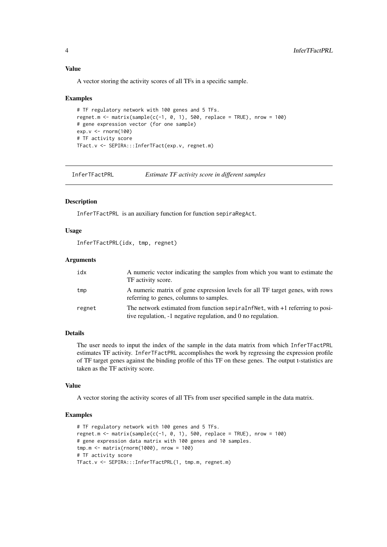#### Value

A vector storing the activity scores of all TFs in a specific sample.

#### Examples

```
# TF regulatory network with 100 genes and 5 TFs.
regnet.m <- matrix(sample(c(-1, 0, 1), 500, replace = TRUE), nrow = 100)
# gene expression vector (for one sample)
exp.v <- rnorm(100)
# TF activity score
TFact.v <- SEPIRA:::InferTFact(exp.v, regnet.m)
```
InferTFactPRL *Estimate TF activity score in different samples*

#### Description

InferTFactPRL is an auxiliary function for function sepiraRegAct.

#### Usage

InferTFactPRL(idx, tmp, regnet)

#### Arguments

| idx    | A numeric vector indicating the samples from which you want to estimate the<br>TF activity score.                                               |
|--------|-------------------------------------------------------------------------------------------------------------------------------------------------|
| tmp    | A numeric matrix of gene expression levels for all TF target genes, with rows<br>referring to genes, columns to samples.                        |
| regnet | The network estimated from function sepiral of Net, with +1 referring to posi-<br>tive regulation, -1 negative regulation, and 0 no regulation. |

#### Details

The user needs to input the index of the sample in the data matrix from which InferTFactPRL estimates TF activity. InferTFactPRL accomplishes the work by regressing the expression profile of TF target genes against the binding profile of this TF on these genes. The output t-statistics are taken as the TF activity score.

#### Value

A vector storing the activity scores of all TFs from user specified sample in the data matrix.

#### Examples

```
# TF regulatory network with 100 genes and 5 TFs.
regnet.m <- matrix(sample(c(-1, 0, 1), 500, replace = TRUE), nrow = 100)
# gene expression data matrix with 100 genes and 10 samples.
tmp.m <- matrix(rnorm(1000), nrow = 100)
# TF activity score
TFact.v <- SEPIRA:::InferTFactPRL(1, tmp.m, regnet.m)
```
<span id="page-3-0"></span>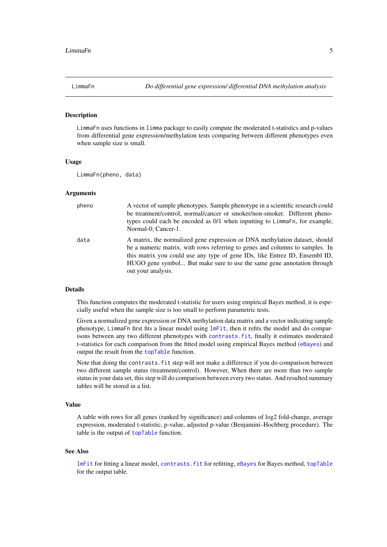<span id="page-4-0"></span>

#### Description

LimmaFn uses functions in limma package to easily compute the moderated t-statistics and p-values from differential gene expression/methylation tests comparing between different phenotypes even when sample size is small.

#### Usage

LimmaFn(pheno, data)

#### Arguments

| pheno | A vector of sample phenotypes. Sample phenotype in a scientific research could<br>be treatment/control, normal/cancer or smoker/non-smoker. Different pheno-<br>types could each be encoded as 0/1 when inputting to LimmaFn, for example,<br>Normal-0; Cancer-1.                                                                          |
|-------|--------------------------------------------------------------------------------------------------------------------------------------------------------------------------------------------------------------------------------------------------------------------------------------------------------------------------------------------|
| data  | A matrix, the normalized gene expression or DNA methylation dataset, should<br>be a numeric matrix, with rows referring to genes and columns to samples. In<br>this matrix you could use any type of gene IDs, like Entrez ID, Ensembl ID,<br>HUGO gene symbol But make sure to use the same gene annotation through<br>out your analysis. |

#### Details

This function computes the moderated t-statistic for users using empirical Bayes method, it is especially useful when the sample size is too small to perform parametric tests.

Given a normalized gene expression or DNA methylation data matrix and a vector indicating sample phenotype, LimmaFn first fits a linear model using [lmFit](#page-0-0), then it refits the model and do comparisons between any two different phenotypes with [contrasts.fit](#page-0-0), finally it estimates moderated t-statistics for each comparison from the fitted model using empirical Bayes method ([eBayes](#page-0-0)) and output the result from the [topTable](#page-0-0) function.

Note that doing the contrasts.fit step will not make a difference if you do comparison between two different sample status (treatment/control). However, When there are more than two sample status in your data set, this step will do comparison between every two status. And resulted summary tables will be stored in a list.

#### Value

A table with rows for all genes (ranked by significance) and columns of log2 fold-change, average expression, moderated t-statistic, p-value, adjusted p-value (Benjamini–Hochberg procedure). The table is the output of [topTable](#page-0-0) function.

#### See Also

[lmFit](#page-0-0) for fitting a linear model, [contrasts.fit](#page-0-0) for refitting, [eBayes](#page-0-0) for Bayes method, [topTable](#page-0-0) for the output table.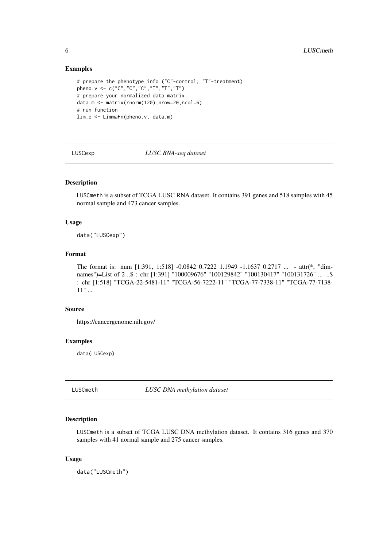#### Examples

```
# prepare the phenotype info ("C"-control; "T"-treatment)
pheno.v <- c("C","C","C","T","T","T")
# prepare your normalized data matrix.
data.m <- matrix(rnorm(120),nrow=20,ncol=6)
# run function
lim.o <- LimmaFn(pheno.v, data.m)
```
#### LUSCexp *LUSC RNA-seq dataset*

#### Description

LUSCmeth is a subset of TCGA LUSC RNA dataset. It contains 391 genes and 518 samples with 45 normal sample and 473 cancer samples.

#### Usage

data("LUSCexp")

#### Format

The format is: num [1:391, 1:518] -0.0842 0.7222 1.1949 -1.1637 0.2717 ... - attr(\*, "dimnames")=List of 2 ..\$ : chr [1:391] "100009676" "100129842" "100130417" "100131726" ... ..\$ : chr [1:518] "TCGA-22-5481-11" "TCGA-56-7222-11" "TCGA-77-7338-11" "TCGA-77-7138- 11" ...

#### Source

https://cancergenome.nih.gov/

#### Examples

data(LUSCexp)

LUSCmeth *LUSC DNA methylation dataset*

#### Description

LUSCmeth is a subset of TCGA LUSC DNA methylation dataset. It contains 316 genes and 370 samples with 41 normal sample and 275 cancer samples.

#### Usage

data("LUSCmeth")

<span id="page-5-0"></span>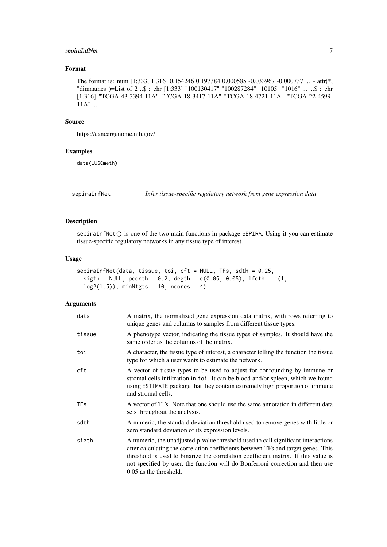#### <span id="page-6-0"></span>sepiraInfNet 7

#### Format

The format is: num [1:333, 1:316] 0.154246 0.197384 0.000585 -0.033967 -0.000737 ... - attr(\*, "dimnames")=List of 2 ..\$ : chr [1:333] "100130417" "100287284" "10105" "1016" ... ..\$ : chr [1:316] "TCGA-43-3394-11A" "TCGA-18-3417-11A" "TCGA-18-4721-11A" "TCGA-22-4599-  $11A" \dots$ 

#### Source

https://cancergenome.nih.gov/

#### Examples

data(LUSCmeth)

sepiraInfNet *Infer tissue-specific regulatory network from gene expression data*

#### Description

sepiraInfNet() is one of the two main functions in package SEPIRA. Using it you can estimate tissue-specific regulatory networks in any tissue type of interest.

#### Usage

```
sepiraInfNet(data, tissue, toi, cft = NULL, TFs, sdth = 0.25,
  sight = NULL, pcorth = 0.2, degth = c(0.05, 0.05), lfcth = c(1, 0.05)log2(1.5), minNtgts = 10, ncores = 4)
```
#### Arguments

| data       | A matrix, the normalized gene expression data matrix, with rows referring to<br>unique genes and columns to samples from different tissue types.                                                                                                                                                                                                                         |
|------------|--------------------------------------------------------------------------------------------------------------------------------------------------------------------------------------------------------------------------------------------------------------------------------------------------------------------------------------------------------------------------|
| tissue     | A phenotype vector, indicating the tissue types of samples. It should have the<br>same order as the columns of the matrix.                                                                                                                                                                                                                                               |
| toi        | A character, the tissue type of interest, a character telling the function the tissue<br>type for which a user wants to estimate the network.                                                                                                                                                                                                                            |
| cft        | A vector of tissue types to be used to adjust for confounding by immune or<br>stromal cells infiltration in toi. It can be blood and/or spleen, which we found<br>using ESTIMATE package that they contain extremely high proportion of immune<br>and stromal cells.                                                                                                     |
| <b>TFs</b> | A vector of TFs. Note that one should use the same annotation in different data<br>sets throughout the analysis.                                                                                                                                                                                                                                                         |
| sdth       | A numeric, the standard deviation threshold used to remove genes with little or<br>zero standard deviation of its expression levels.                                                                                                                                                                                                                                     |
| sigth      | A numeric, the unadjusted p-value threshold used to call significant interactions<br>after calculating the correlation coefficients between TFs and target genes. This<br>threshold is used to binarize the correlation coefficient matrix. If this value is<br>not specified by user, the function will do Bonferroni correction and then use<br>0.05 as the threshold. |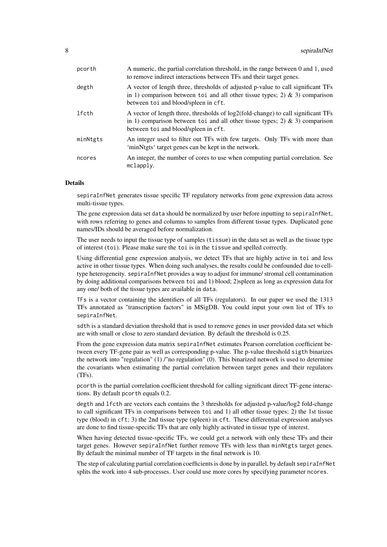| pcorth   | A numeric, the partial correlation threshold, in the range between 0 and 1, used<br>to remove indirect interactions between TFs and their target genes.                                                    |
|----------|------------------------------------------------------------------------------------------------------------------------------------------------------------------------------------------------------------|
| degth    | A vector of length three, thresholds of adjusted p-value to call significant TFs<br>in 1) comparison between to i and all other tissue types; 2) & 3) comparison<br>between to i and blood/spleen in cft.  |
| lfcth    | A vector of length three, thresholds of log2(fold-change) to call significant TFs<br>in 1) comparison between to i and all other tissue types; 2) & 3) comparison<br>between to i and blood/spleen in cft. |
| minNtgts | An integer used to filter out TFs with few targets. Only TFs with more than<br>'minNtgts' target genes can be kept in the network.                                                                         |
| ncores   | An integer, the number of cores to use when computing partial correlation. See<br>mclapply.                                                                                                                |

#### **Details**

sepiraInfNet generates tissue specific TF regulatory networks from gene expression data across multi-tissue types.

The gene expression data set data should be normalized by user before inputting to sepiraInfNet, with rows referring to genes and columns to samples from different tissue types. Duplicated gene names/IDs should be averaged before normalization.

The user needs to input the tissue type of samples (tissue) in the data set as well as the tissue type of interest (toi). Please make sure the toi is in the tissue and spelled correctly.

Using differential gene expression analysis, we detect TFs that are highly active in toi and less active in other tissue types. When doing such analyses, the results could be confounded due to celltype heterogeneity. sepiraInfNet provides a way to adjust for immune/ stromal cell contamination by doing additional comparisons between toi and 1) blood; 2)spleen as long as expression data for any one/ both of the tissue types are available in data.

TFs is a vector containing the identifiers of all TFs (regulators). In our paper we used the 1313 TFs annotated as "transcription factors" in MSigDB. You could input your own list of TFs to sepiraInfNet.

sdth is a standard deviation threshold that is used to remove genes in user provided data set which are with small or close to zero standard deviation. By default the threshold is 0.25.

From the gene expression data matrix sepiraInfNet estimates Pearson correlation coefficient between every TF-gene pair as well as corresponding p-value. The p-value threshold sigth binarizes the network into "regulation" (1) /"no regulation" (0). This binarized network is used to determine the covariants when estimating the partial correlation between target genes and their regulators (TFs).

pcorth is the partial correlation coefficient threshold for calling significant direct TF-gene interactions. By default pcorth equals 0.2.

degth and lfcth are vectors each contains the 3 thresholds for adjusted p-value/log2 fold-change to call significant TFs in comparisons between toi and 1) all other tissue types; 2) the 1st tissue type (blood) in cft; 3) the 2nd tissue type (spleen) in cft. These differential expression analyses are done to find tissue-specific TFs that are only highly activated in tissue type of interest.

When having detected tissue-specific TFs, we could get a network with only these TFs and their target genes. However sepiraInfNet further remove TFs with less than minNtgts target genes. By default the minimal number of TF targets in the final network is 10.

The step of calculating partial correlation coefficients is done by in parallel, by default sepiraInfNet splits the work into 4 sub-processes. User could use more cores by specifying parameter ncores.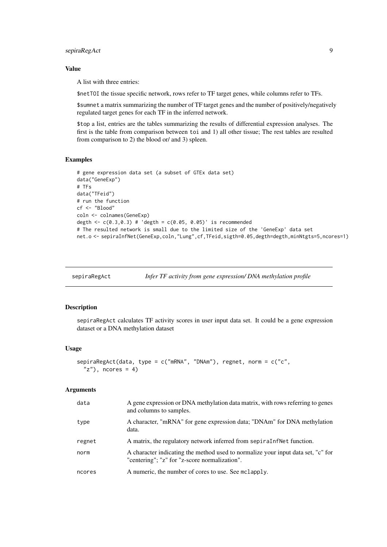#### <span id="page-8-0"></span>sepiraRegAct 9

#### Value

A list with three entries:

\$netTOI the tissue specific network, rows refer to TF target genes, while columns refer to TFs.

\$sumnet a matrix summarizing the number of TF target genes and the number of positively/negatively regulated target genes for each TF in the inferred network.

\$top a list, entries are the tables summarizing the results of differential expression analyses. The first is the table from comparison between toi and 1) all other tissue; The rest tables are resulted from comparison to 2) the blood or/ and 3) spleen.

#### Examples

```
# gene expression data set (a subset of GTEx data set)
data("GeneExp")
# TFs
data("TFeid")
# run the function
cf <- "Blood"
coln <- colnames(GeneExp)
degth \leq c(0.3, 0.3) # 'degth = c(0.05, 0.05)' is recommended
# The resulted network is small due to the limited size of the 'GeneExp' data set
net.o <- sepiraInfNet(GeneExp,coln,"Lung",cf,TFeid,sigth=0.05,degth=degth,minNtgts=5,ncores=1)
```
sepiraRegAct *Infer TF activity from gene expression/ DNA methylation profile*

#### Description

sepiraRegAct calculates TF activity scores in user input data set. It could be a gene expression dataset or a DNA methylation dataset

#### Usage

```
sepiraRegAct(data, type = c("mRNA", "DNAm"), regnet, norm = c("c",
  "z"), ncores = 4)
```
#### Arguments

| data   | A gene expression or DNA methylation data matrix, with rows referring to genes<br>and columns to samples.                         |
|--------|-----------------------------------------------------------------------------------------------------------------------------------|
| type   | A character, "mRNA" for gene expression data; "DNAm" for DNA methylation<br>data.                                                 |
| regnet | A matrix, the regulatory network inferred from separation.                                                                        |
| norm   | A character indicating the method used to normalize your input data set, "c" for<br>"centering"; "z" for "z-score normalization". |
| ncores | A numeric, the number of cores to use. See mclapply.                                                                              |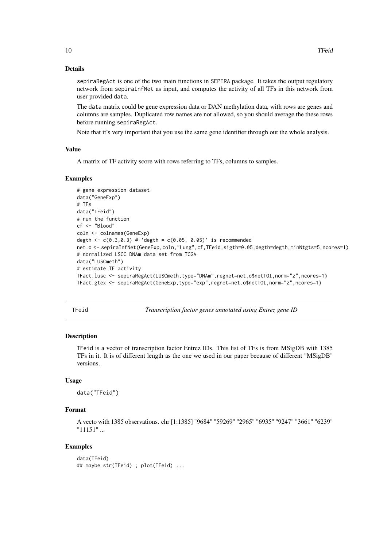#### Details

sepiraRegAct is one of the two main functions in SEPIRA package. It takes the output regulatory network from sepiraInfNet as input, and computes the activity of all TFs in this network from user provided data.

The data matrix could be gene expression data or DAN methylation data, with rows are genes and columns are samples. Duplicated row names are not allowed, so you should average the these rows before running sepiraRegAct.

Note that it's very important that you use the same gene identifier through out the whole analysis.

#### Value

A matrix of TF activity score with rows referring to TFs, columns to samples.

#### Examples

```
# gene expression dataset
data("GeneExp")
# TFs
data("TFeid")
# run the function
cf <- "Blood"
coln <- colnames(GeneExp)
degth \leq -c(0.3, 0.3) # 'degth = c(0.05, 0.05)' is recommended
net.o <- sepiraInfNet(GeneExp,coln,"Lung",cf,TFeid,sigth=0.05,degth=degth,minNtgts=5,ncores=1)
# normalized LSCC DNAm data set from TCGA
data("LUSCmeth")
# estimate TF activity
TFact.lusc <- sepiraRegAct(LUSCmeth,type="DNAm",regnet=net.o$netTOI,norm="z",ncores=1)
TFact.gtex <- sepiraRegAct(GeneExp,type="exp",regnet=net.o$netTOI,norm="z",ncores=1)
```

Transcription factor genes annotated using Entrez gene ID

#### Description

TFeid is a vector of transcription factor Entrez IDs. This list of TFs is from MSigDB with 1385 TFs in it. It is of different length as the one we used in our paper because of different "MSigDB" versions.

#### Usage

```
data("TFeid")
```
#### Format

A vecto with 1385 observations. chr [1:1385] "9684" "59269" "2965" "6935" "9247" "3661" "6239" "11151" ...

#### Examples

```
data(TFeid)
## maybe str(TFeid) ; plot(TFeid) ...
```
<span id="page-9-0"></span>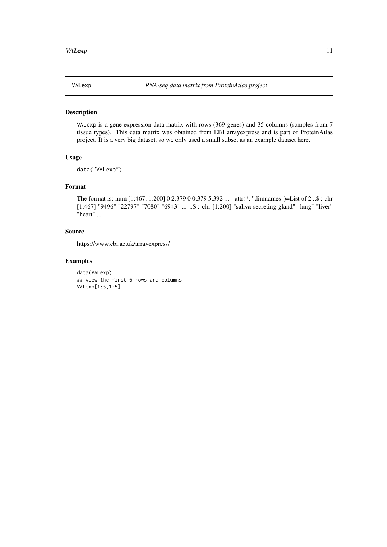<span id="page-10-0"></span>

#### Description

VALexp is a gene expression data matrix with rows (369 genes) and 35 columns (samples from 7 tissue types). This data matrix was obtained from EBI arrayexpress and is part of ProteinAtlas project. It is a very big dataset, so we only used a small subset as an example dataset here.

#### Usage

data("VALexp")

#### Format

The format is: num [1:467, 1:200] 0 2.379 0 0.379 5.392 ... - attr(\*, "dimnames")=List of 2 ..\$ : chr [1:467] "9496" "22797" "7080" "6943" ... ..\$ : chr [1:200] "saliva-secreting gland" "lung" "liver" "heart" ...

#### Source

https://www.ebi.ac.uk/arrayexpress/

#### Examples

data(VALexp) ## view the first 5 rows and columns VALexp[1:5,1:5]